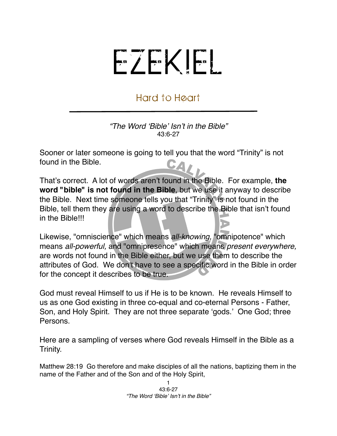## EZEKIEL

## Hard to Heart

*"The Word* ʻ*Bible*' *Isn*'*t in the Bible"* 43:6-27

Sooner or later someone is going to tell you that the word "Trinity" is not found in the Bible. CA/

That's correct. A lot of words aren't found in the Bible. For example, **the word "bible" is not found in the Bible**, but we use it anyway to describe the Bible. Next time someone tells you that "Trinity" is not found in the Bible, tell them they are using a word to describe the Bible that isn't found in the Bible!!!

Likewise, "omniscience" which means *all-knowing,* "omnipotence" which means *all-powerful,* and "omnipresence" which means *present everywhere,*  are words not found in the Bible either, but we use them to describe the attributes of God. We don't have to see a specific word in the Bible in order for the concept it describes to be true.

God must reveal Himself to us if He is to be known. He reveals Himself to us as one God existing in three co-equal and co-eternal Persons - Father, Son, and Holy Spirit. They are not three separate ʻgods.' One God; three Persons.

Here are a sampling of verses where God reveals Himself in the Bible as a Trinity.

Matthew 28:19 Go therefore and make disciples of all the nations, baptizing them in the name of the Father and of the Son and of the Holy Spirit,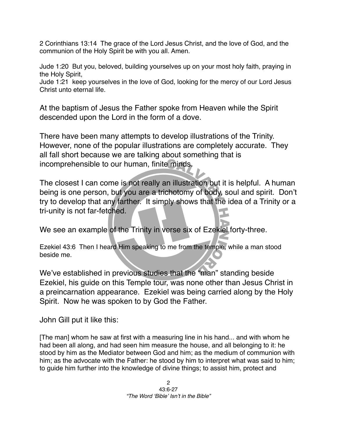2 Corinthians 13:14 The grace of the Lord Jesus Christ, and the love of God, and the communion of the Holy Spirit be with you all. Amen.

Jude 1:20 But you, beloved, building yourselves up on your most holy faith, praying in the Holy Spirit,

Jude 1:21 keep yourselves in the love of God, looking for the mercy of our Lord Jesus Christ unto eternal life.

At the baptism of Jesus the Father spoke from Heaven while the Spirit descended upon the Lord in the form of a dove.

There have been many attempts to develop illustrations of the Trinity. However, none of the popular illustrations are completely accurate. They all fall short because we are talking about something that is incomprehensible to our human, finite minds.

The closest I can come is not really an illustration but it is helpful. A human being is one person, but you are a trichotomy of body, soul and spirit. Don't try to develop that any farther. It simply shows that the idea of a Trinity or a tri-unity is not far-fetched.

We see an example of the Trinity in verse six of Ezekiel forty-three.

Ezekiel 43:6 Then I heard Him speaking to me from the temple, while a man stood beside me.

We've established in previous studies that the "man" standing beside Ezekiel, his guide on this Temple tour, was none other than Jesus Christ in a preincarnation appearance. Ezekiel was being carried along by the Holy Spirit. Now he was spoken to by God the Father.

John Gill put it like this:

[The man] whom he saw at first with a measuring line in his hand... and with whom he had been all along, and had seen him measure the house, and all belonging to it: he stood by him as the Mediator between God and him; as the medium of communion with him; as the advocate with the Father: he stood by him to interpret what was said to him; to guide him further into the knowledge of divine things; to assist him, protect and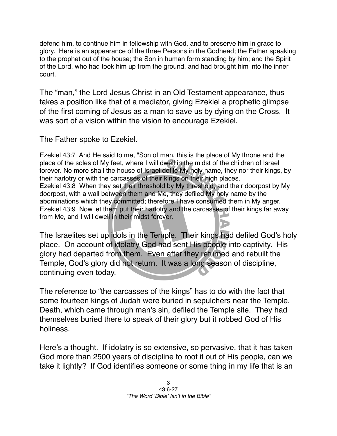defend him, to continue him in fellowship with God, and to preserve him in grace to glory. Here is an appearance of the three Persons in the Godhead; the Father speaking to the prophet out of the house; the Son in human form standing by him; and the Spirit of the Lord, who had took him up from the ground, and had brought him into the inner court.

The "man," the Lord Jesus Christ in an Old Testament appearance, thus takes a position like that of a mediator, giving Ezekiel a prophetic glimpse of the first coming of Jesus as a man to save us by dying on the Cross. It was sort of a vision within the vision to encourage Ezekiel.

The Father spoke to Ezekiel.

Ezekiel 43:7 And He said to me, "Son of man, this is the place of My throne and the place of the soles of My feet, where I will dwell in the midst of the children of Israel forever. No more shall the house of Israel defile My holy name, they nor their kings, by their harlotry or with the carcasses of their kings on their high places. Ezekiel 43:8 When they set their threshold by My threshold, and their doorpost by My doorpost, with a wall between them and Me, they defiled My holy name by the abominations which they committed; therefore I have consumed them in My anger. Ezekiel 43:9 Now let them put their harlotry and the carcasses of their kings far away from Me, and I will dwell in their midst forever.

The Israelites set up idols in the Temple. Their kings had defiled God's holy place. On account of idolatry God had sent His people into captivity. His glory had departed from them. Even after they returned and rebuilt the Temple, God's glory did not return. It was a long season of discipline, continuing even today.

The reference to "the carcasses of the kings" has to do with the fact that some fourteen kings of Judah were buried in sepulchers near the Temple. Death, which came through man's sin, defiled the Temple site. They had themselves buried there to speak of their glory but it robbed God of His holiness.

Here's a thought. If idolatry is so extensive, so pervasive, that it has taken God more than 2500 years of discipline to root it out of His people, can we take it lightly? If God identifies someone or some thing in my life that is an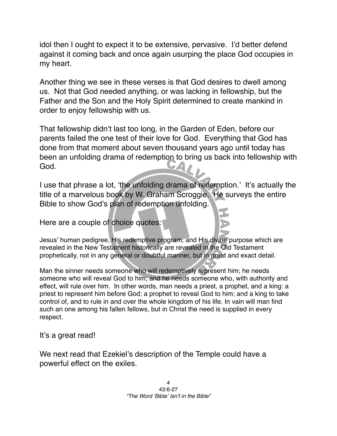idol then I ought to expect it to be extensive, pervasive. I'd better defend against it coming back and once again usurping the place God occupies in my heart.

Another thing we see in these verses is that God desires to dwell among us. Not that God needed anything, or was lacking in fellowship, but the Father and the Son and the Holy Spirit determined to create mankind in order to enjoy fellowship with us.

That fellowship didn't last too long, in the Garden of Eden, before our parents failed the one test of their love for God. Everything that God has done from that moment about seven thousand years ago until today has been an unfolding drama of redemption to bring us back into fellowship with God.

I use that phrase a lot, ʻthe unfolding drama of redemption.' It's actually the title of a marvelous book by W. Graham Scroggie. He surveys the entire Bible to show God's plan of redemption unfolding.

Here are a couple of choice quotes:

Jesus' human pedigree, His redemptive program, and His divine purpose which are revealed in the New Testament historically are revealed in the Old Testament prophetically, not in any general or doubtful manner, but in great and exact detail.

Man the sinner needs someone who will redemptively represent him; he needs someone who will reveal God to him; and he needs someone who, with authority and effect, will rule over him. In other words, man needs a priest, a prophet, and a king: a priest to represent him before God; a prophet to reveal God to him; and a king to take control of, and to rule in and over the whole kingdom of his life. In vain will man find such an one among his fallen fellows, but in Christ the need is supplied in every respect.

It's a great read!

We next read that Ezekiel's description of the Temple could have a powerful effect on the exiles.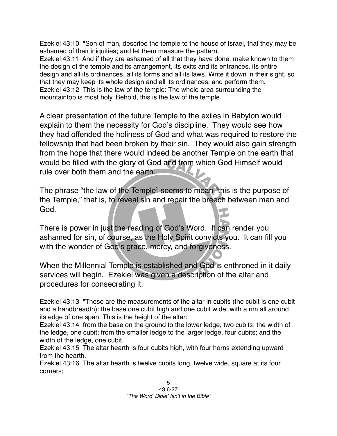Ezekiel 43:10 "Son of man, describe the temple to the house of Israel, that they may be ashamed of their iniquities; and let them measure the pattern.

Ezekiel 43:11 And if they are ashamed of all that they have done, make known to them the design of the temple and its arrangement, its exits and its entrances, its entire design and all its ordinances, all its forms and all its laws. Write it down in their sight, so that they may keep its whole design and all its ordinances, and perform them. Ezekiel 43:12 This is the law of the temple: The whole area surrounding the mountaintop is most holy. Behold, this is the law of the temple.

A clear presentation of the future Temple to the exiles in Babylon would explain to them the necessity for God's discipline. They would see how they had offended the holiness of God and what was required to restore the fellowship that had been broken by their sin. They would also gain strength from the hope that there would indeed be another Temple on the earth that would be filled with the glory of God and from which God Himself would rule over both them and the earth.

The phrase "the law of the Temple" seems to mean "this is the purpose of the Temple," that is, to reveal sin and repair the breech between man and God.

There is power in just the reading of God's Word. It can render you ashamed for sin, of course, as the Holy Spirit convicts you. It can fill you with the wonder of God's grace, mercy, and forgiveness.

When the Millennial Temple is established and God is enthroned in it daily services will begin. Ezekiel was given a description of the altar and procedures for consecrating it.

Ezekiel 43:13 "These are the measurements of the altar in cubits (the cubit is one cubit and a handbreadth): the base one cubit high and one cubit wide, with a rim all around its edge of one span. This is the height of the altar:

Ezekiel 43:14 from the base on the ground to the lower ledge, two cubits; the width of the ledge, one cubit; from the smaller ledge to the larger ledge, four cubits; and the width of the ledge, one cubit.

Ezekiel 43:15 The altar hearth is four cubits high, with four horns extending upward from the hearth.

Ezekiel 43:16 The altar hearth is twelve cubits long, twelve wide, square at its four corners;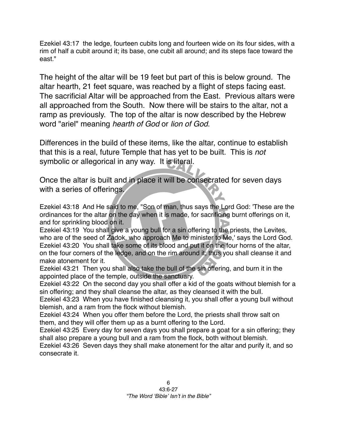Ezekiel 43:17 the ledge, fourteen cubits long and fourteen wide on its four sides, with a rim of half a cubit around it; its base, one cubit all around; and its steps face toward the east."

The height of the altar will be 19 feet but part of this is below ground. The altar hearth, 21 feet square, was reached by a flight of steps facing east. The sacrificial Altar will be approached from the East. Previous altars were all approached from the South. Now there will be stairs to the altar, not a ramp as previously. The top of the altar is now described by the Hebrew word "ariel" meaning *hearth of God* or *lion of God*.

Differences in the build of these items, like the altar, continue to establish that this is a real, future Temple that has yet to be built. This is *not* symbolic or allegorical in any way. It is literal.

Once the altar is built and in place it will be consecrated for seven days with a series of offerings.

Ezekiel 43:18 And He said to me, "Son of man, thus says the Lord God: 'These are the ordinances for the altar on the day when it is made, for sacrificing burnt offerings on it, and for sprinkling blood on it.

Ezekiel 43:19 You shall give a young bull for a sin offering to the priests, the Levites, who are of the seed of Zadok, who approach Me to minister to Me,' says the Lord God. Ezekiel 43:20 You shall take some of its blood and put it on the four horns of the altar, on the four corners of the ledge, and on the rim around it; thus you shall cleanse it and make atonement for it.

Ezekiel 43:21 Then you shall also take the bull of the sin offering, and burn it in the appointed place of the temple, outside the sanctuary.

Ezekiel 43:22 On the second day you shall offer a kid of the goats without blemish for a sin offering; and they shall cleanse the altar, as they cleansed it with the bull.

Ezekiel 43:23 When you have finished cleansing it, you shall offer a young bull without blemish, and a ram from the flock without blemish.

Ezekiel 43:24 When you offer them before the Lord, the priests shall throw salt on them, and they will offer them up as a burnt offering to the Lord.

Ezekiel 43:25 Every day for seven days you shall prepare a goat for a sin offering; they shall also prepare a young bull and a ram from the flock, both without blemish.

Ezekiel 43:26 Seven days they shall make atonement for the altar and purify it, and so consecrate it.